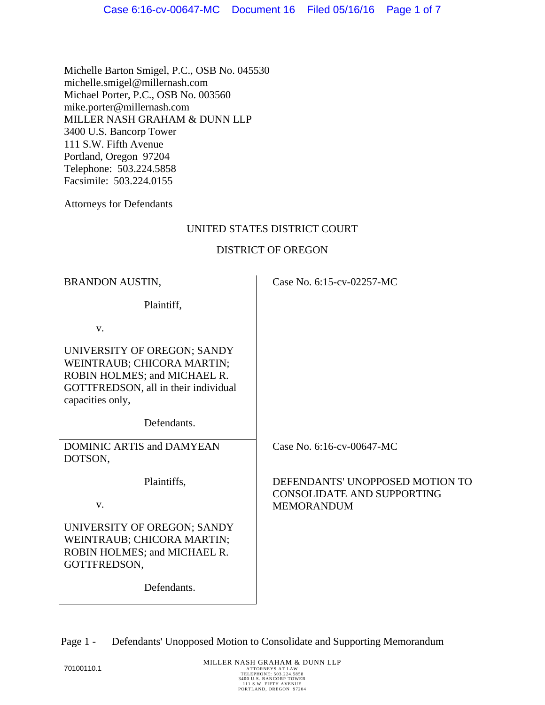Michelle Barton Smigel, P.C., OSB No. 045530 michelle.smigel@millernash.com Michael Porter, P.C., OSB No. 003560 mike.porter@millernash.com MILLER NASH GRAHAM & DUNN LLP 3400 U.S. Bancorp Tower 111 S.W. Fifth Avenue Portland, Oregon 97204 Telephone: 503.224.5858 Facsimile: 503.224.0155

Attorneys for Defendants

### UNITED STATES DISTRICT COURT

### DISTRICT OF OREGON

| <b>BRANDON AUSTIN,</b>                                                                                                                                | Case No. 6:15-cv-02257-MC                                                                 |
|-------------------------------------------------------------------------------------------------------------------------------------------------------|-------------------------------------------------------------------------------------------|
| Plaintiff,                                                                                                                                            |                                                                                           |
| V.                                                                                                                                                    |                                                                                           |
| UNIVERSITY OF OREGON; SANDY<br>WEINTRAUB; CHICORA MARTIN;<br>ROBIN HOLMES; and MICHAEL R.<br>GOTTFREDSON, all in their individual<br>capacities only, |                                                                                           |
| Defendants.                                                                                                                                           |                                                                                           |
| <b>DOMINIC ARTIS and DAMYEAN</b><br>DOTSON,                                                                                                           | Case No. 6:16-cv-00647-MC                                                                 |
| Plaintiffs,<br>V.                                                                                                                                     | DEFENDANTS' UNOPPOSED MOTION TO<br><b>CONSOLIDATE AND SUPPORTING</b><br><b>MEMORANDUM</b> |
| UNIVERSITY OF OREGON; SANDY<br>WEINTRAUB; CHICORA MARTIN;<br>ROBIN HOLMES; and MICHAEL R.<br>GOTTFREDSON,                                             |                                                                                           |
| Defendants.                                                                                                                                           |                                                                                           |

Page 1 - Defendants' Unopposed Motion to Consolidate and Supporting Memorandum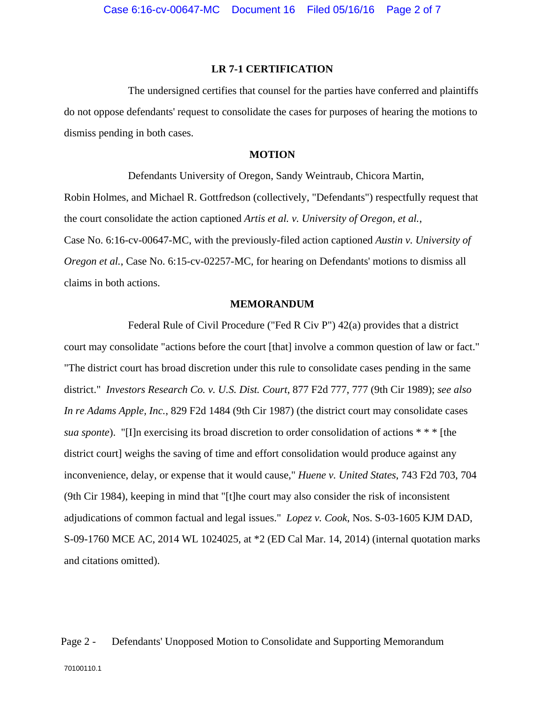#### **LR 7-1 CERTIFICATION**

The undersigned certifies that counsel for the parties have conferred and plaintiffs do not oppose defendants' request to consolidate the cases for purposes of hearing the motions to dismiss pending in both cases.

### **MOTION**

Defendants University of Oregon, Sandy Weintraub, Chicora Martin, Robin Holmes, and Michael R. Gottfredson (collectively, "Defendants") respectfully request that the court consolidate the action captioned *Artis et al. v. University of Oregon, et al.*, Case No. 6:16-cv-00647-MC, with the previously-filed action captioned *Austin v. University of Oregon et al.*, Case No. 6:15-cv-02257-MC, for hearing on Defendants' motions to dismiss all claims in both actions.

#### **MEMORANDUM**

Federal Rule of Civil Procedure ("Fed R Civ P") 42(a) provides that a district court may consolidate "actions before the court [that] involve a common question of law or fact." "The district court has broad discretion under this rule to consolidate cases pending in the same district." *Investors Research Co. v. U.S. Dist. Court*, 877 F2d 777, 777 (9th Cir 1989); *see also In re Adams Apple, Inc.*, 829 F2d 1484 (9th Cir 1987) (the district court may consolidate cases *sua sponte*). "[I]n exercising its broad discretion to order consolidation of actions \* \* \* [the district court] weighs the saving of time and effort consolidation would produce against any inconvenience, delay, or expense that it would cause," *Huene v. United States*, 743 F2d 703, 704 (9th Cir 1984), keeping in mind that "[t]he court may also consider the risk of inconsistent adjudications of common factual and legal issues." *Lopez v. Cook*, Nos. S-03-1605 KJM DAD, S-09-1760 MCE AC, 2014 WL 1024025, at \*2 (ED Cal Mar. 14, 2014) (internal quotation marks and citations omitted).

# Page 2 - Defendants' Unopposed Motion to Consolidate and Supporting Memorandum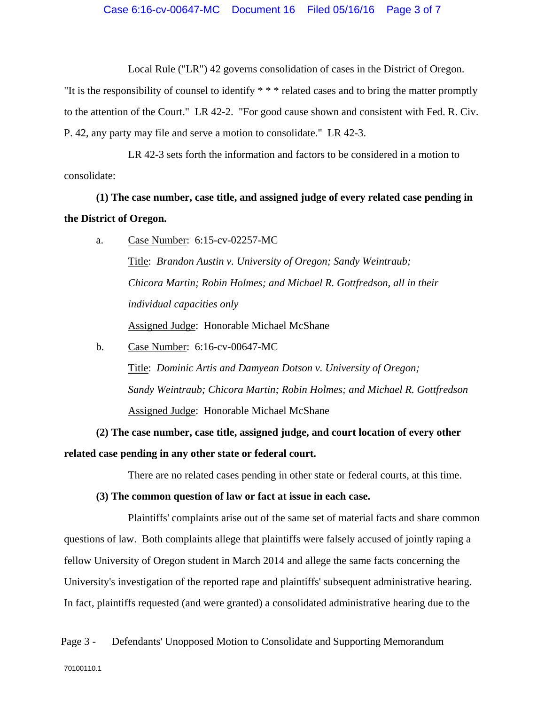Local Rule ("LR") 42 governs consolidation of cases in the District of Oregon.

"It is the responsibility of counsel to identify \* \* \* related cases and to bring the matter promptly to the attention of the Court." LR 42-2. "For good cause shown and consistent with Fed. R. Civ. P. 42, any party may file and serve a motion to consolidate." LR 42-3.

LR 42-3 sets forth the information and factors to be considered in a motion to consolidate:

**(1) The case number, case title, and assigned judge of every related case pending in the District of Oregon.** 

a. Case Number: 6:15-cv-02257-MC

Title: *Brandon Austin v. University of Oregon; Sandy Weintraub; Chicora Martin; Robin Holmes; and Michael R. Gottfredson, all in their individual capacities only*  Assigned Judge: Honorable Michael McShane

b. Case Number: 6:16-cv-00647-MC Title: *Dominic Artis and Damyean Dotson v. University of Oregon; Sandy Weintraub; Chicora Martin; Robin Holmes; and Michael R. Gottfredson*  Assigned Judge: Honorable Michael McShane

**(2) The case number, case title, assigned judge, and court location of every other related case pending in any other state or federal court.** 

There are no related cases pending in other state or federal courts, at this time.

**(3) The common question of law or fact at issue in each case.** 

Plaintiffs' complaints arise out of the same set of material facts and share common questions of law. Both complaints allege that plaintiffs were falsely accused of jointly raping a fellow University of Oregon student in March 2014 and allege the same facts concerning the University's investigation of the reported rape and plaintiffs' subsequent administrative hearing. In fact, plaintiffs requested (and were granted) a consolidated administrative hearing due to the

Page 3 - Defendants' Unopposed Motion to Consolidate and Supporting Memorandum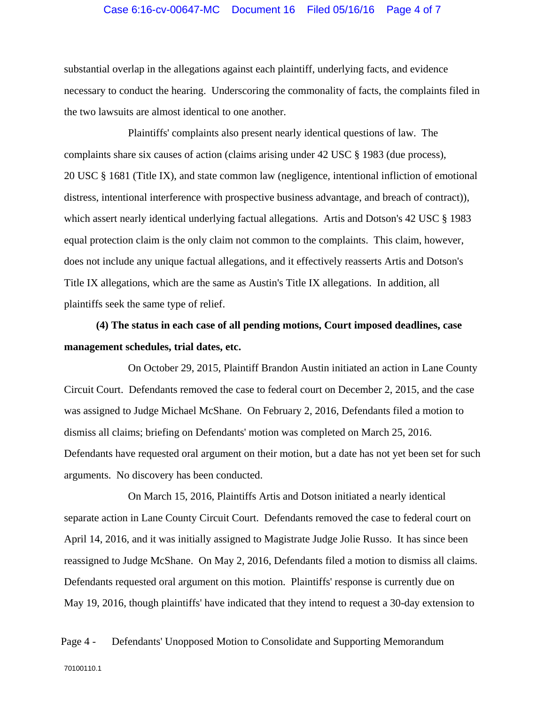### Case 6:16-cv-00647-MC Document 16 Filed 05/16/16 Page 4 of 7

substantial overlap in the allegations against each plaintiff, underlying facts, and evidence necessary to conduct the hearing. Underscoring the commonality of facts, the complaints filed in the two lawsuits are almost identical to one another.

Plaintiffs' complaints also present nearly identical questions of law. The complaints share six causes of action (claims arising under 42 USC § 1983 (due process), 20 USC § 1681 (Title IX), and state common law (negligence, intentional infliction of emotional distress, intentional interference with prospective business advantage, and breach of contract)), which assert nearly identical underlying factual allegations. Artis and Dotson's 42 USC § 1983 equal protection claim is the only claim not common to the complaints. This claim, however, does not include any unique factual allegations, and it effectively reasserts Artis and Dotson's Title IX allegations, which are the same as Austin's Title IX allegations. In addition, all plaintiffs seek the same type of relief.

**(4) The status in each case of all pending motions, Court imposed deadlines, case management schedules, trial dates, etc.** 

On October 29, 2015, Plaintiff Brandon Austin initiated an action in Lane County Circuit Court. Defendants removed the case to federal court on December 2, 2015, and the case was assigned to Judge Michael McShane. On February 2, 2016, Defendants filed a motion to dismiss all claims; briefing on Defendants' motion was completed on March 25, 2016. Defendants have requested oral argument on their motion, but a date has not yet been set for such arguments. No discovery has been conducted.

On March 15, 2016, Plaintiffs Artis and Dotson initiated a nearly identical separate action in Lane County Circuit Court. Defendants removed the case to federal court on April 14, 2016, and it was initially assigned to Magistrate Judge Jolie Russo. It has since been reassigned to Judge McShane. On May 2, 2016, Defendants filed a motion to dismiss all claims. Defendants requested oral argument on this motion. Plaintiffs' response is currently due on May 19, 2016, though plaintiffs' have indicated that they intend to request a 30-day extension to

Page 4 - Defendants' Unopposed Motion to Consolidate and Supporting Memorandum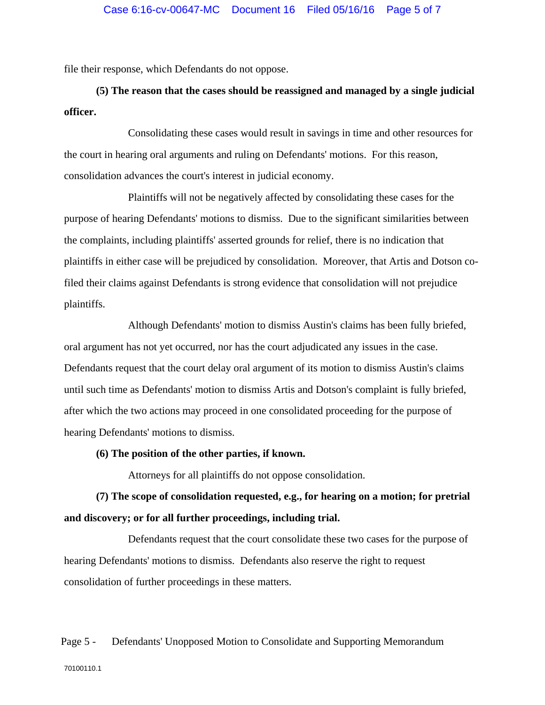file their response, which Defendants do not oppose.

## **(5) The reason that the cases should be reassigned and managed by a single judicial officer.**

Consolidating these cases would result in savings in time and other resources for the court in hearing oral arguments and ruling on Defendants' motions. For this reason, consolidation advances the court's interest in judicial economy.

Plaintiffs will not be negatively affected by consolidating these cases for the purpose of hearing Defendants' motions to dismiss. Due to the significant similarities between the complaints, including plaintiffs' asserted grounds for relief, there is no indication that plaintiffs in either case will be prejudiced by consolidation. Moreover, that Artis and Dotson cofiled their claims against Defendants is strong evidence that consolidation will not prejudice plaintiffs.

Although Defendants' motion to dismiss Austin's claims has been fully briefed, oral argument has not yet occurred, nor has the court adjudicated any issues in the case. Defendants request that the court delay oral argument of its motion to dismiss Austin's claims until such time as Defendants' motion to dismiss Artis and Dotson's complaint is fully briefed, after which the two actions may proceed in one consolidated proceeding for the purpose of hearing Defendants' motions to dismiss.

### **(6) The position of the other parties, if known.**

Attorneys for all plaintiffs do not oppose consolidation.

# **(7) The scope of consolidation requested, e.g., for hearing on a motion; for pretrial and discovery; or for all further proceedings, including trial.**

Defendants request that the court consolidate these two cases for the purpose of hearing Defendants' motions to dismiss. Defendants also reserve the right to request consolidation of further proceedings in these matters.

### Page 5 - Defendants' Unopposed Motion to Consolidate and Supporting Memorandum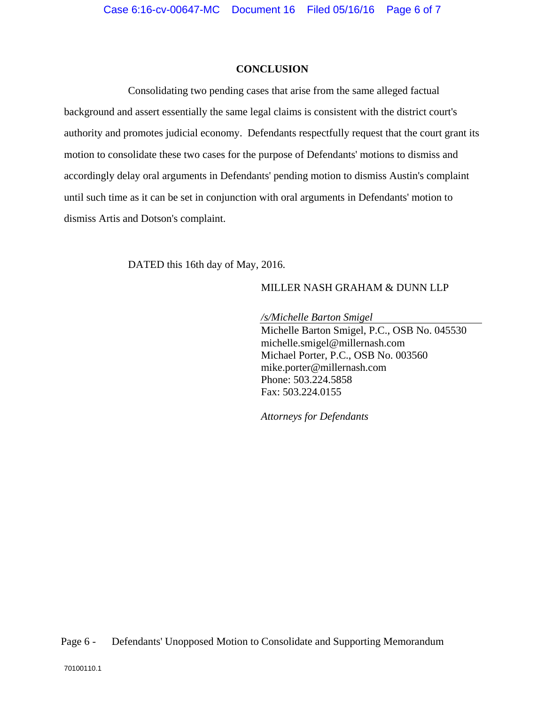### **CONCLUSION**

Consolidating two pending cases that arise from the same alleged factual background and assert essentially the same legal claims is consistent with the district court's authority and promotes judicial economy. Defendants respectfully request that the court grant its motion to consolidate these two cases for the purpose of Defendants' motions to dismiss and accordingly delay oral arguments in Defendants' pending motion to dismiss Austin's complaint until such time as it can be set in conjunction with oral arguments in Defendants' motion to dismiss Artis and Dotson's complaint.

DATED this 16th day of May, 2016.

### MILLER NASH GRAHAM & DUNN LLP

*/s/Michelle Barton Smigel* 

Michelle Barton Smigel, P.C., OSB No. 045530 michelle.smigel@millernash.com Michael Porter, P.C., OSB No. 003560 mike.porter@millernash.com Phone: 503.224.5858 Fax: 503.224.0155

*Attorneys for Defendants*